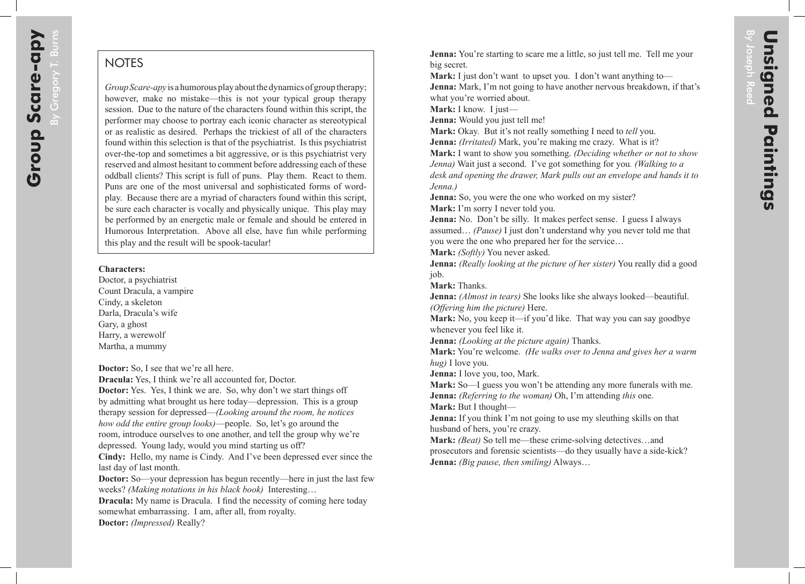## **NOTES**

*Group Scare-apy* is a humorous play about the dynamics of group therapy; however, make no mistake—this is not your typical group therapy session. Due to the nature of the characters found within this script, the performer may choose to portray each iconic character as stereotypical or as realistic as desired. Perhaps the trickiest of all of the characters found within this selection is that of the psychiatrist. Is this psychiatrist over-the-top and sometimes a bit aggressive, or is this psychiatrist very reserved and almost hesitant to comment before addressing each of these oddball clients? This script is full of puns. Play them. React to them. Puns are one of the most universal and sophisticated forms of wordplay. Because there are a myriad of characters found within this script, be sure each character is vocally and physically unique. This play may be performed by an energetic male or female and should be entered in Humorous Interpretation. Above all else, have fun while performing this play and the result will be spook-tacular!

## **Characters:**

Doctor, a psychiatrist Count Dracula, a vampire Cindy, a skeleton Darla, Dracula's wife Gary, a ghost Harry, a werewolf Martha, a mummy

**Doctor:** So, I see that we're all here.

**Dracula:** Yes, I think we're all accounted for, Doctor.

**Doctor:** Yes. Yes, I think we are. So, why don't we start things off by admitting what brought us here today—depression. This is a group therapy session for depressed—*(Looking around the room, he notices how odd the entire group looks)*—people. So, let's go around the room, introduce ourselves to one another, and tell the group why we're depressed. Young lady, would you mind starting us off?

**Cindy:** Hello, my name is Cindy. And I've been depressed ever since the last day of last month.

**Doctor:** So—your depression has begun recently—here in just the last few weeks? *(Making notations in his black book)* Interesting…

**Dracula:** My name is Dracula. I find the necessity of coming here today somewhat embarrassing. I am, after all, from royalty.

**Doctor:** *(Impressed)* Really?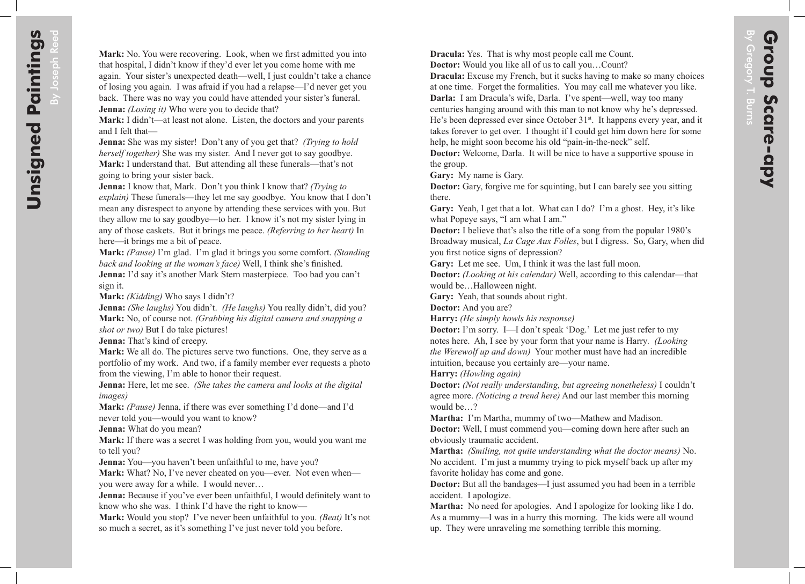**Dracula:** Yes. That is why most people call me Count. **Doctor:** Would you like all of us to call you…Count?

**Dracula:** Excuse my French, but it sucks having to make so many choices at one time. Forget the formalities. You may call me whatever you like. **Darla:** I am Dracula's wife, Darla. I've spent—well, way too many

centuries hanging around with this man to not know why he's depressed. He's been depressed ever since October  $31<sup>st</sup>$ . It happens every year, and it takes forever to get over. I thought if I could get him down here for some help, he might soon become his old "pain-in-the-neck" self.

**Doctor:** Welcome, Darla. It will be nice to have a supportive spouse in the group.

**Gary:** My name is Gary.

**Doctor:** Gary, forgive me for squinting, but I can barely see you sitting there.

**Gary:** Yeah, I get that a lot. What can I do? I'm a ghost. Hey, it's like what Popeye says, "I am what I am."

**Doctor:** I believe that's also the title of a song from the popular 1980's Broadway musical, *La Cage Aux Folles*, but I digress. So, Gary, when did you first notice signs of depression?

**Gary:** Let me see. Um, I think it was the last full moon.

**Doctor:** *(Looking at his calendar)* Well, according to this calendar—that would be…Halloween night.

**Gary:** Yeah, that sounds about right.

**Doctor:** And you are?

**Harry:** *(He simply howls his response)*

**Doctor:** I'm sorry. I—I don't speak 'Dog.' Let me just refer to my notes here. Ah, I see by your form that your name is Harry*. (Looking the Werewolf up and down)* Your mother must have had an incredible intuition, because you certainly are—your name.

**Harry:** *(Howling again)*

**Doctor:** *(Not really understanding, but agreeing nonetheless)* I couldn't agree more. *(Noticing a trend here)* And our last member this morning would be…?

**Martha:** I'm Martha, mummy of two—Mathew and Madison.

**Doctor:** Well, I must commend you—coming down here after such an obviously traumatic accident.

**Martha:** *(Smiling, not quite understanding what the doctor means)* No. No accident. I'm just a mummy trying to pick myself back up after my favorite holiday has come and gone.

**Doctor:** But all the bandages—I just assumed you had been in a terrible accident. I apologize.

**Martha:** No need for apologies. And I apologize for looking like I do. As a mummy—I was in a hurry this morning. The kids were all wound up. They were unraveling me something terrible this morning.